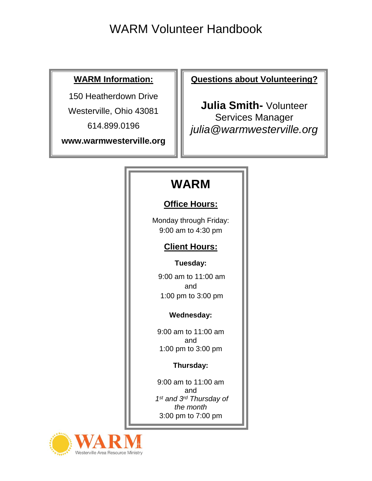### **WARM Information:**

150 Heatherdown Drive

Westerville, Ohio 43081

614.899.0196

**www.warmwesterville.org**

**Questions about Volunteering?**

**Julia Smith-** Volunteer Services Manager *julia@warmwesterville.org*

## **WARM**

### **Office Hours:**

Monday through Friday: 9:00 am to 4:30 pm

### **Client Hours:**

### **Tuesday:**

9:00 am to 11:00 am and 1:00 pm to 3:00 pm

### **Wednesday:**

9:00 am to 11:00 am and 1:00 pm to 3:00 pm

### **Thursday:**

9:00 am to 11:00 am and *1 st and 3rd Thursday of the month* 3:00 pm to 7:00 pm

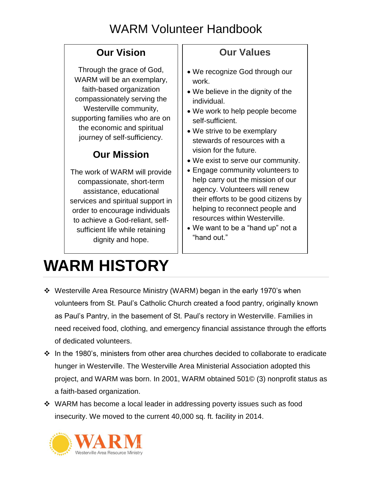### **Our Vision**

Through the grace of God, WARM will be an exemplary, faith-based organization compassionately serving the Westerville community, supporting families who are on the economic and spiritual journey of self-sufficiency.

### **Our Mission**

The work of WARM will provide compassionate, short-term assistance, educational services and spiritual support in order to encourage individuals to achieve a God-reliant, selfsufficient life while retaining dignity and hope.

## **Our Values**

- We recognize God through our work.
- We believe in the dignity of the individual.
- We work to help people become self-sufficient.
- We strive to be exemplary stewards of resources with a vision for the future.
- We exist to serve our community.
- Engage community volunteers to help carry out the mission of our agency. Volunteers will renew their efforts to be good citizens by helping to reconnect people and resources within Westerville.
- We want to be a "hand up" not a "hand out."

# **WARM HISTORY**

- Westerville Area Resource Ministry (WARM) began in the early 1970's when volunteers from St. Paul's Catholic Church created a food pantry, originally known as Paul's Pantry, in the basement of St. Paul's rectory in Westerville. Families in need received food, clothing, and emergency financial assistance through the efforts of dedicated volunteers.
- $\cdot \cdot$  In the 1980's, ministers from other area churches decided to collaborate to eradicate hunger in Westerville. The Westerville Area Ministerial Association adopted this project, and WARM was born. In 2001, WARM obtained 501© (3) nonprofit status as a faith-based organization.
- WARM has become a local leader in addressing poverty issues such as food insecurity. We moved to the current 40,000 sq. ft. facility in 2014.

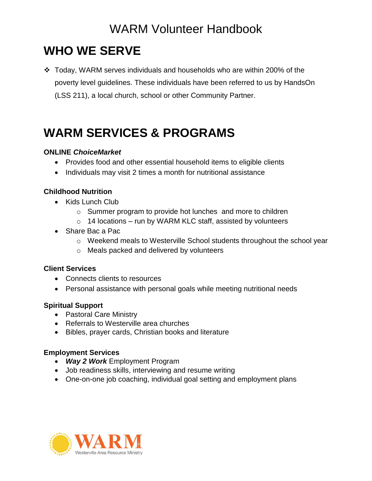## **WHO WE SERVE**

 Today, WARM serves individuals and households who are within 200% of the poverty level guidelines. These individuals have been referred to us by HandsOn (LSS 211), a local church, school or other Community Partner.

## **WARM SERVICES & PROGRAMS**

#### **ONLINE** *ChoiceMarket*

- Provides food and other essential household items to eligible clients
- Individuals may visit 2 times a month for nutritional assistance

#### **Childhood Nutrition**

- Kids Lunch Club
	- o Summer program to provide hot lunches and more to children
	- $\circ$  14 locations run by WARM KLC staff, assisted by volunteers
- Share Bac a Pac
	- o Weekend meals to Westerville School students throughout the school year
	- o Meals packed and delivered by volunteers

#### **Client Services**

- Connects clients to resources
- Personal assistance with personal goals while meeting nutritional needs

#### **Spiritual Support**

- Pastoral Care Ministry
- Referrals to Westerville area churches
- Bibles, prayer cards, Christian books and literature

#### **Employment Services**

- *Way 2 Work* Employment Program
- Job readiness skills, interviewing and resume writing
- One-on-one job coaching, individual goal setting and employment plans

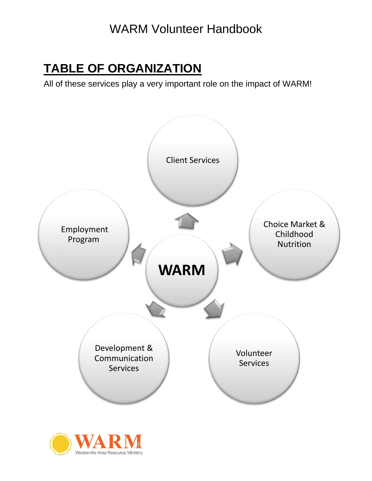## **TABLE OF ORGANIZATION**

All of these services play a very important role on the impact of WARM!



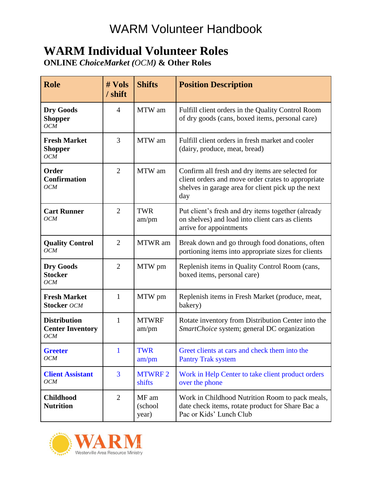## **WARM Individual Volunteer Roles**

**ONLINE** *ChoiceMarket (OCM)* **& Other Roles**

| <b>Role</b>                                                  | # Vols<br>/ shift | <b>Shifts</b>             | <b>Position Description</b>                                                                                                                                         |
|--------------------------------------------------------------|-------------------|---------------------------|---------------------------------------------------------------------------------------------------------------------------------------------------------------------|
| <b>Dry Goods</b><br><b>Shopper</b><br>OCM                    | 4                 | MTW am                    | Fulfill client orders in the Quality Control Room<br>of dry goods (cans, boxed items, personal care)                                                                |
| <b>Fresh Market</b><br><b>Shopper</b><br><b>OCM</b>          | 3                 | MTW am                    | Fulfill client orders in fresh market and cooler<br>(dairy, produce, meat, bread)                                                                                   |
| Order<br><b>Confirmation</b><br><b>OCM</b>                   | $\overline{2}$    | MTW am                    | Confirm all fresh and dry items are selected for<br>client orders and move order crates to appropriate<br>shelves in garage area for client pick up the next<br>day |
| <b>Cart Runner</b><br>OCM                                    | $\overline{2}$    | <b>TWR</b><br>am/pm       | Put client's fresh and dry items together (already<br>on shelves) and load into client cars as clients<br>arrive for appointments                                   |
| <b>Quality Control</b><br>OCM                                | $\overline{2}$    | MTWR am                   | Break down and go through food donations, often<br>portioning items into appropriate sizes for clients                                                              |
| <b>Dry Goods</b><br><b>Stocker</b><br>OCM                    | $\overline{2}$    | MTW pm                    | Replenish items in Quality Control Room (cans,<br>boxed items, personal care)                                                                                       |
| <b>Fresh Market</b><br><b>Stocker OCM</b>                    | 1                 | MTW pm                    | Replenish items in Fresh Market (produce, meat,<br>bakery)                                                                                                          |
| <b>Distribution</b><br><b>Center Inventory</b><br><b>OCM</b> | 1                 | <b>MTWRF</b><br>am/pm     | Rotate inventory from Distribution Center into the<br>SmartChoice system; general DC organization                                                                   |
| <b>Greeter</b><br>OCM                                        |                   | <b>TWR</b><br>am/pm       | Greet clients at cars and check them into the<br><b>Pantry Trak system</b>                                                                                          |
| <b>Client Assistant</b><br>OCM                               | $\overline{3}$    | <b>MTWRF2</b><br>shifts   | Work in Help Center to take client product orders<br>over the phone                                                                                                 |
| <b>Childhood</b><br><b>Nutrition</b>                         | $\overline{2}$    | MF am<br>(school<br>year) | Work in Childhood Nutrition Room to pack meals,<br>date check items, rotate product for Share Bac a<br>Pac or Kids' Lunch Club                                      |

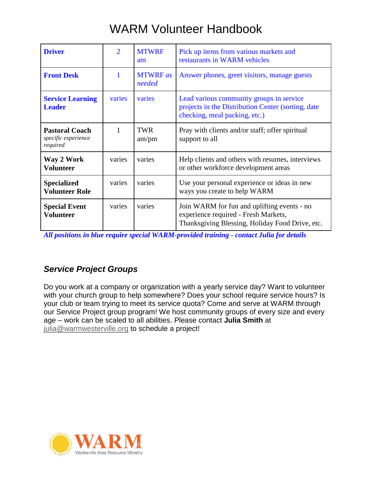| <b>Driver</b>                                            | $\overline{2}$ | <b>MTWRF</b><br>am        | Pick up items from various markets and<br>restaurants in WARM vehicles                                                                 |
|----------------------------------------------------------|----------------|---------------------------|----------------------------------------------------------------------------------------------------------------------------------------|
| <b>Front Desk</b>                                        |                | <b>MTWRF</b> as<br>needed | Answer phones, greet visitors, manage guests                                                                                           |
| <b>Service Learning</b><br><b>Leader</b>                 | varies         | varies                    | Lead various community groups in service<br>projects in the Distribution Center (sorting, date<br>checking, meal packing, etc.)        |
| <b>Pastoral Coach</b><br>specific experience<br>required | 1              | <b>TWR</b><br>am/pm       | Pray with clients and/or staff; offer spiritual<br>support to all                                                                      |
| Way 2 Work<br><b>Volunteer</b>                           | varies         | varies                    | Help clients and others with resumes, interviews<br>or other workforce development areas                                               |
| <b>Specialized</b><br><b>Volunteer Role</b>              | varies         | varies                    | Use your personal experience or ideas in new<br>ways you create to help WARM                                                           |
| <b>Special Event</b><br><b>Volunteer</b>                 | varies         | varies                    | Join WARM for fun and uplifting events - no<br>experience required - Fresh Markets,<br>Thanksgiving Blessing, Holiday Food Drive, etc. |

*All positions in blue require special WARM-provided training - contact Julia for details*

### *Service Project Groups*

Do you work at a company or organization with a yearly service day? Want to volunteer with your church group to help somewhere? Does your school require service hours? Is your club or team trying to meet its service quota? Come and serve at WARM through our Service Project group program! We host community groups of every size and every age – work can be scaled to all abilities. Please contact **Julia Smith** at [julia@warmwesterville.org](mailto:julia@warmwesterville.org) to schedule a project!